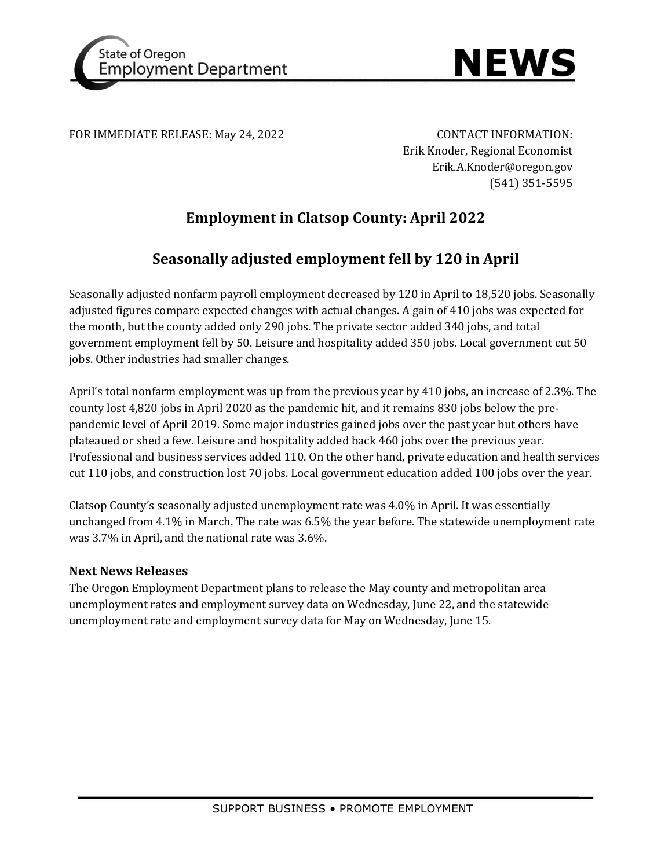



FOR IMMEDIATE RELEASE: May 24, 2022 CONTACT INFORMATION:

Erik Knoder, Regional Economist Erik.A.Knoder@oregon.gov (541) 351-5595

# **Employment in Clatsop County: April 2022**

## **Seasonally adjusted employment fell by 120 in April**

Seasonally adjusted nonfarm payroll employment decreased by 120 in April to 18,520 jobs. Seasonally adjusted figures compare expected changes with actual changes. A gain of 410 jobs was expected for the month, but the county added only 290 jobs. The private sector added 340 jobs, and total government employment fell by 50. Leisure and hospitality added 350 jobs. Local government cut 50 jobs. Other industries had smaller changes.

April's total nonfarm employment was up from the previous year by 410 jobs, an increase of 2.3%. The county lost 4,820 jobs in April 2020 as the pandemic hit, and it remains 830 jobs below the prepandemic level of April 2019. Some major industries gained jobs over the past year but others have plateaued or shed a few. Leisure and hospitality added back 460 jobs over the previous year. Professional and business services added 110. On the other hand, private education and health services cut 110 jobs, and construction lost 70 jobs. Local government education added 100 jobs over the year.

Clatsop County's seasonally adjusted unemployment rate was 4.0% in April. It was essentially unchanged from 4.1% in March. The rate was 6.5% the year before. The statewide unemployment rate was 3.7% in April, and the national rate was 3.6%.

### **Next News Releases**

The Oregon Employment Department plans to release the May county and metropolitan area unemployment rates and employment survey data on Wednesday, June 22, and the statewide unemployment rate and employment survey data for May on Wednesday, June 15.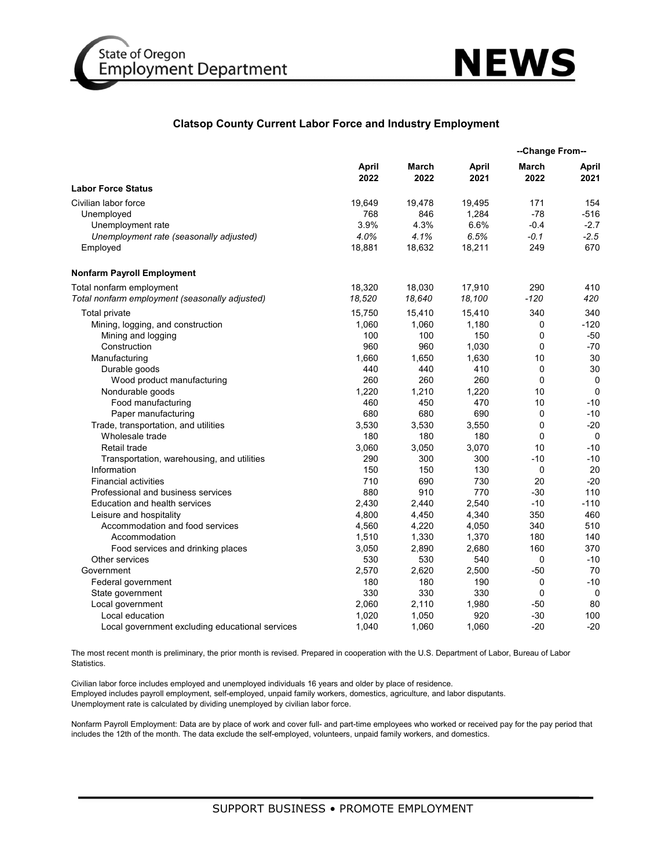



#### **Clatsop County Current Labor Force and Industry Employment**

|                                                 |                      |               | --Change From--      |               |               |
|-------------------------------------------------|----------------------|---------------|----------------------|---------------|---------------|
|                                                 | <b>April</b><br>2022 | March<br>2022 | <b>April</b><br>2021 | March<br>2022 | April<br>2021 |
| <b>Labor Force Status</b>                       |                      |               |                      |               |               |
| Civilian labor force                            | 19,649               | 19,478        | 19,495               | 171           | 154           |
| Unemployed                                      | 768                  | 846           | 1,284                | $-78$         | $-516$        |
| Unemployment rate                               | 3.9%                 | 4.3%          | 6.6%                 | $-0.4$        | $-2.7$        |
| Unemployment rate (seasonally adjusted)         | 4.0%                 | 4.1%          | 6.5%                 | $-0.1$        | $-2.5$        |
| Employed                                        | 18,881               | 18,632        | 18,211               | 249           | 670           |
| <b>Nonfarm Payroll Employment</b>               |                      |               |                      |               |               |
| Total nonfarm employment                        | 18,320               | 18,030        | 17,910               | 290           | 410           |
| Total nonfarm employment (seasonally adjusted)  | 18,520               | 18,640        | 18,100               | $-120$        | 420           |
| Total private                                   | 15,750               | 15,410        | 15,410               | 340           | 340           |
| Mining, logging, and construction               | 1,060                | 1,060         | 1,180                | 0             | $-120$        |
| Mining and logging                              | 100                  | 100           | 150                  | 0             | $-50$         |
| Construction                                    | 960                  | 960           | 1,030                | $\Omega$      | $-70$         |
| Manufacturing                                   | 1,660                | 1,650         | 1,630                | 10            | 30            |
| Durable goods                                   | 440                  | 440           | 410                  | $\mathbf 0$   | 30            |
| Wood product manufacturing                      | 260                  | 260           | 260                  | $\Omega$      | $\mathbf 0$   |
| Nondurable goods                                | 1,220                | 1,210         | 1,220                | 10            | $\mathbf 0$   |
| Food manufacturing                              | 460                  | 450           | 470                  | 10            | $-10$         |
| Paper manufacturing                             | 680                  | 680           | 690                  | $\mathbf 0$   | $-10$         |
| Trade, transportation, and utilities            | 3,530                | 3,530         | 3,550                | $\mathbf 0$   | $-20$         |
| Wholesale trade                                 | 180                  | 180           | 180                  | $\mathbf 0$   | $\mathbf 0$   |
| Retail trade                                    | 3,060                | 3,050         | 3,070                | 10            | -10           |
| Transportation, warehousing, and utilities      | 290                  | 300           | 300                  | $-10$         | $-10$         |
| Information                                     | 150                  | 150           | 130                  | $\mathbf 0$   | 20            |
| <b>Financial activities</b>                     | 710                  | 690           | 730                  | 20            | $-20$         |
| Professional and business services              | 880                  | 910           | 770                  | $-30$         | 110           |
| Education and health services                   | 2,430                | 2,440         | 2,540                | $-10$         | $-110$        |
| Leisure and hospitality                         | 4,800                | 4,450         | 4,340                | 350           | 460           |
| Accommodation and food services                 | 4,560                | 4,220         | 4,050                | 340           | 510           |
| Accommodation                                   | 1,510                | 1,330         | 1,370                | 180           | 140           |
| Food services and drinking places               | 3,050                | 2,890         | 2,680                | 160           | 370           |
| Other services                                  | 530                  | 530           | 540                  | 0             | $-10$         |
| Government                                      | 2,570                | 2,620         | 2,500                | $-50$         | 70            |
| Federal government                              | 180                  | 180           | 190                  | $\mathbf 0$   | $-10$         |
| State government                                | 330                  | 330           | 330                  | 0             | 0             |
| Local government                                | 2,060                | 2,110         | 1,980                | $-50$         | 80            |
| Local education                                 | 1,020                | 1,050         | 920                  | $-30$         | 100           |
| Local government excluding educational services | 1,040                | 1,060         | 1,060                | $-20$         | $-20$         |

The most recent month is preliminary, the prior month is revised. Prepared in cooperation with the U.S. Department of Labor, Bureau of Labor Statistics.

Civilian labor force includes employed and unemployed individuals 16 years and older by place of residence. Employed includes payroll employment, self-employed, unpaid family workers, domestics, agriculture, and labor disputants. Unemployment rate is calculated by dividing unemployed by civilian labor force.

Nonfarm Payroll Employment: Data are by place of work and cover full- and part-time employees who worked or received pay for the pay period that includes the 12th of the month. The data exclude the self-employed, volunteers, unpaid family workers, and domestics.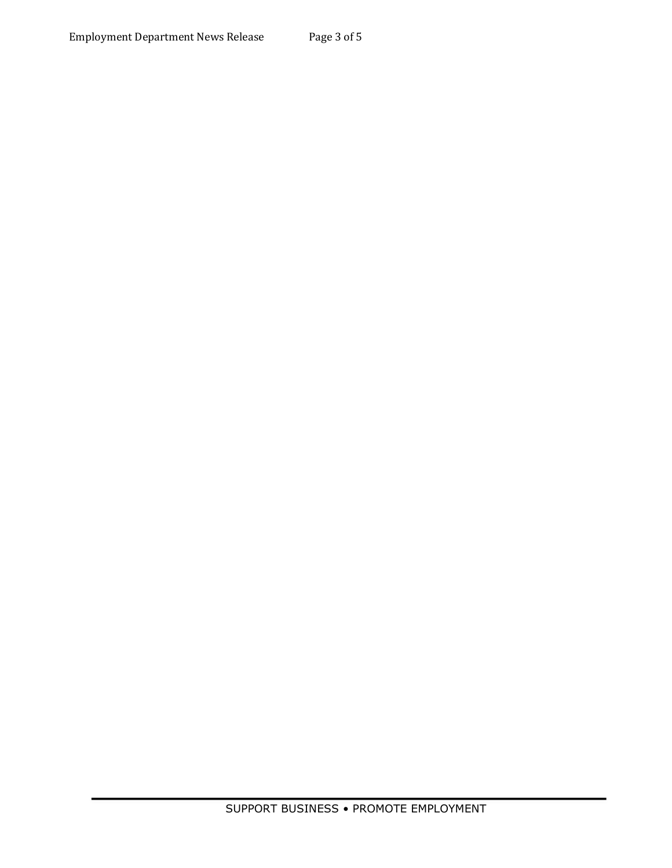### Employment Department News Release Page 3 of 5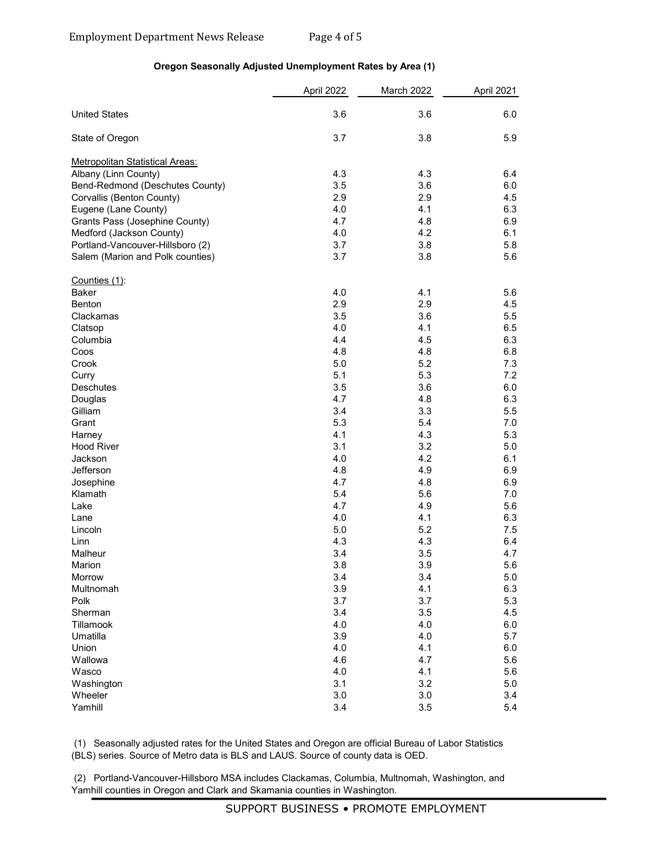#### **Oregon Seasonally Adjusted Unemployment Rates by Area (1)**

|                                  | April 2022 | March 2022 | April 2021 |
|----------------------------------|------------|------------|------------|
| <b>United States</b>             | 3.6        | 3.6        | 6.0        |
| State of Oregon                  | 3.7        | 3.8        | 5.9        |
|                                  |            |            |            |
| Metropolitan Statistical Areas:  |            |            |            |
| Albany (Linn County)             | 4.3        | 4.3        | 6.4        |
| Bend-Redmond (Deschutes County)  | 3.5        | 3.6        | 6.0        |
| Corvallis (Benton County)        | 2.9        | 2.9        | 4.5        |
| Eugene (Lane County)             | 4.0        | 4.1        | 6.3        |
| Grants Pass (Josephine County)   | 4.7        | 4.8        | 6.9        |
| Medford (Jackson County)         | 4.0        | 4.2        | 6.1        |
| Portland-Vancouver-Hillsboro (2) | 3.7        | 3.8        | 5.8        |
| Salem (Marion and Polk counties) | 3.7        | 3.8        | 5.6        |
| Counties (1):                    |            |            |            |
| <b>Baker</b>                     | 4.0        | 4.1        | 5.6        |
| <b>Benton</b>                    | 2.9        | 2.9        | 4.5        |
| Clackamas                        | 3.5        | 3.6        | 5.5        |
| Clatsop                          | 4.0        | 4.1        | 6.5        |
| Columbia                         | 4.4        | 4.5        | 6.3        |
| Coos                             | 4.8        | 4.8        | 6.8        |
| Crook                            | 5.0        | 5.2        | 7.3        |
| Curry                            | 5.1        | 5.3        | 7.2        |
| Deschutes                        | 3.5        | 3.6        | 6.0        |
| Douglas                          | 4.7        | 4.8        | 6.3        |
| Gilliam                          | 3.4        | 3.3        | 5.5        |
| Grant                            | 5.3        | 5.4        | 7.0        |
| Harney                           | 4.1        | 4.3        | 5.3        |
| <b>Hood River</b>                | 3.1        | 3.2        | 5.0        |
| Jackson                          | 4.0        | 4.2        | 6.1        |
| Jefferson                        | 4.8        | 4.9        | 6.9        |
| Josephine                        | 4.7        | 4.8        | 6.9        |
| Klamath                          | 5.4        | 5.6        | 7.0        |
| Lake                             | 4.7        | 4.9        | 5.6        |
| Lane                             | 4.0        | 4.1        | 6.3        |
| Lincoln                          | 5.0        | 5.2        | 7.5        |
| Linn                             | 4.3        | 4.3        | 6.4        |
| Malheur                          | 3.4        | 3.5        | 4.7        |
| Marion                           | 3.8        | 3.9        | 5.6        |
| Morrow                           | 3.4        | 3.4        | 5.0        |
| Multnomah                        | 3.9        | 4.1        | 6.3        |
| Polk                             | 3.7        | 3.7        | 5.3        |
| Sherman                          | 3.4        | 3.5        | 4.5        |
| Tillamook                        | 4.0        | 4.0        | 6.0        |
| Umatilla                         | 3.9        | 4.0        | 5.7        |
| Union                            | 4.0        | 4.1        | 6.0        |
| Wallowa                          | 4.6        | 4.7        | 5.6        |
| Wasco                            | 4.0        | 4.1        | 5.6        |
| Washington                       | 3.1        | 3.2        | 5.0        |
| Wheeler                          | 3.0        | 3.0        | 3.4        |
| Yamhill                          | 3.4        | 3.5        | 5.4        |

 (1) Seasonally adjusted rates for the United States and Oregon are official Bureau of Labor Statistics (BLS) series. Source of Metro data is BLS and LAUS. Source of county data is OED.

 (2) Portland-Vancouver-Hillsboro MSA includes Clackamas, Columbia, Multnomah, Washington, and Yamhill counties in Oregon and Clark and Skamania counties in Washington.